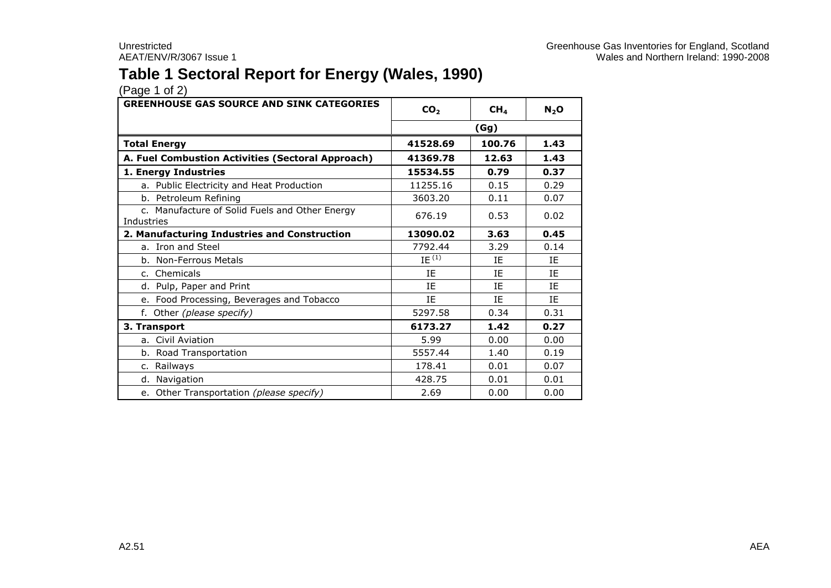### **Table 1 Sectoral Report for Energy (Wales, 1990)**

| <b>GREENHOUSE GAS SOURCE AND SINK CATEGORIES</b>             | CO <sub>2</sub><br>CH <sub>4</sub> |           | $N_2$ O   |
|--------------------------------------------------------------|------------------------------------|-----------|-----------|
|                                                              |                                    | (Gg)      |           |
| <b>Total Energy</b>                                          | 41528.69                           | 100.76    | 1.43      |
| A. Fuel Combustion Activities (Sectoral Approach)            | 41369.78                           | 12.63     | 1.43      |
| 1. Energy Industries                                         | 15534.55                           | 0.79      | 0.37      |
| a. Public Electricity and Heat Production                    | 11255.16                           | 0.15      | 0.29      |
| b. Petroleum Refining                                        | 3603.20                            | 0.11      | 0.07      |
| c. Manufacture of Solid Fuels and Other Energy<br>Industries | 676.19                             | 0.53      | 0.02      |
| 2. Manufacturing Industries and Construction                 | 13090.02                           | 3.63      | 0.45      |
| a. Iron and Steel                                            | 7792.44                            | 3.29      | 0.14      |
| b. Non-Ferrous Metals                                        | $IE^{(1)}$                         | IE        | ΙE        |
| c. Chemicals                                                 | IE                                 | IE        | ΙE        |
| d. Pulp, Paper and Print                                     | IE                                 | <b>IF</b> | <b>IF</b> |
| e. Food Processing, Beverages and Tobacco                    | IE                                 | IE        | IE        |
| f. Other (please specify)                                    | 5297.58                            | 0.34      | 0.31      |
| 3. Transport                                                 | 6173.27                            | 1.42      | 0.27      |
| a. Civil Aviation                                            | 5.99                               | 0.00      | 0.00      |
| b. Road Transportation                                       | 5557.44                            | 1.40      | 0.19      |
| c. Railways                                                  | 178.41                             | 0.01      | 0.07      |
| d. Navigation                                                | 428.75                             | 0.01      | 0.01      |
| e. Other Transportation (please specify)                     | 2.69                               | 0.00      | 0.00      |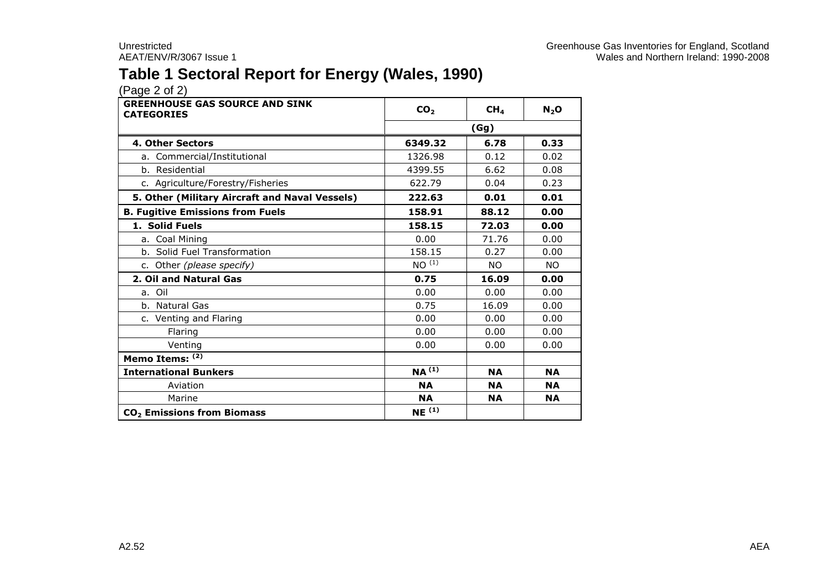### **Table 1 Sectoral Report for Energy (Wales, 1990)**

| <b>GREENHOUSE GAS SOURCE AND SINK</b><br><b>CATEGORIES</b> | CO <sub>2</sub><br>CH <sub>4</sub> |           | $N_2$ O   |  |  |
|------------------------------------------------------------|------------------------------------|-----------|-----------|--|--|
|                                                            | (Gg)                               |           |           |  |  |
| 4. Other Sectors                                           | 6349.32                            | 6.78      | 0.33      |  |  |
| a. Commercial/Institutional                                | 1326.98                            | 0.12      | 0.02      |  |  |
| b. Residential                                             | 4399.55                            | 6.62      | 0.08      |  |  |
| c. Agriculture/Forestry/Fisheries                          | 622.79                             | 0.04      | 0.23      |  |  |
| 5. Other (Military Aircraft and Naval Vessels)             | 222.63                             | 0.01      | 0.01      |  |  |
| <b>B. Fugitive Emissions from Fuels</b>                    | 158.91                             | 88.12     | 0.00      |  |  |
| 1. Solid Fuels                                             | 158.15                             | 72.03     | 0.00      |  |  |
| a. Coal Mining                                             | 0.00                               | 71.76     | 0.00      |  |  |
| b. Solid Fuel Transformation                               | 158.15                             | 0.27      | 0.00      |  |  |
| c. Other (please specify)                                  | NO <sup>(1)</sup>                  | <b>NO</b> | <b>NO</b> |  |  |
| 2. Oil and Natural Gas                                     | 0.75                               | 16.09     | 0.00      |  |  |
| a. Oil                                                     | 0.00                               | 0.00      | 0.00      |  |  |
| b. Natural Gas                                             | 0.75                               | 16.09     | 0.00      |  |  |
| c. Venting and Flaring                                     | 0.00                               | 0.00      | 0.00      |  |  |
| Flaring                                                    | 0.00                               | 0.00      | 0.00      |  |  |
| Venting                                                    | 0.00                               | 0.00      | 0.00      |  |  |
| Memo Items: (2)                                            |                                    |           |           |  |  |
| <b>International Bunkers</b>                               | $NA^{(1)}$                         | <b>NA</b> | <b>NA</b> |  |  |
| Aviation                                                   | <b>NA</b>                          | <b>NA</b> | <b>NA</b> |  |  |
| Marine                                                     | <b>NA</b>                          | <b>NA</b> | <b>NA</b> |  |  |
| CO <sub>2</sub> Emissions from Biomass                     | NE <sup>(1)</sup>                  |           |           |  |  |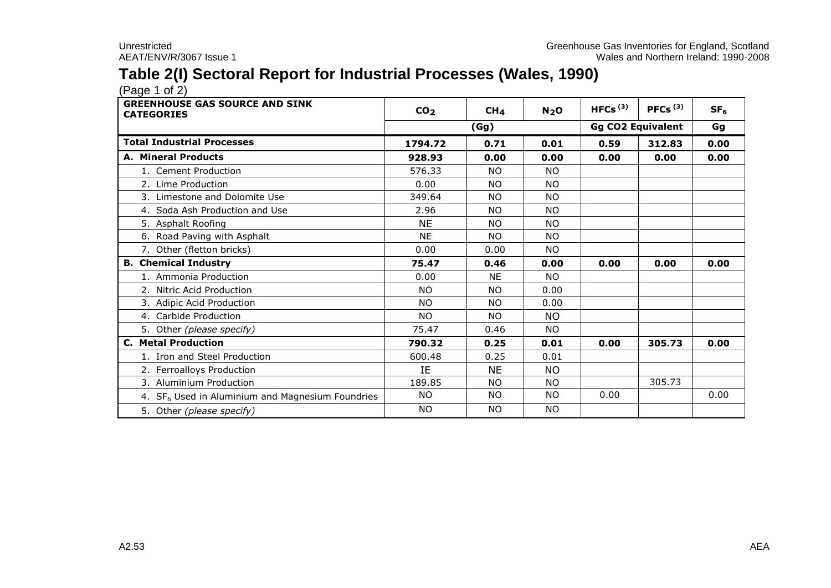### **Table 2(I) Sectoral Report for Industrial Processes (Wales, 1990)**

| <b>GREENHOUSE GAS SOURCE AND SINK</b><br><b>CATEGORIES</b> | CO <sub>2</sub> | CH <sub>4</sub> | N <sub>2</sub> O | HFCs $(3)$               | PFCs <sup>(3)</sup> | SF <sub>6</sub> |
|------------------------------------------------------------|-----------------|-----------------|------------------|--------------------------|---------------------|-----------------|
|                                                            |                 | (Gg)            |                  | <b>Gg CO2 Equivalent</b> |                     | Gg              |
| <b>Total Industrial Processes</b>                          | 1794.72         | 0.71            | 0.01             | 0.59                     | 312.83              | 0.00            |
| A. Mineral Products                                        | 928.93          | 0.00            | 0.00             | 0.00                     | 0.00                | 0.00            |
| 1. Cement Production                                       | 576.33          | <b>NO</b>       | <b>NO</b>        |                          |                     |                 |
| 2. Lime Production                                         | 0.00            | <b>NO</b>       | <b>NO</b>        |                          |                     |                 |
| 3. Limestone and Dolomite Use                              | 349.64          | <b>NO</b>       | <b>NO</b>        |                          |                     |                 |
| 4. Soda Ash Production and Use                             | 2.96            | <b>NO</b>       | <b>NO</b>        |                          |                     |                 |
| 5. Asphalt Roofing                                         | <b>NE</b>       | <b>NO</b>       | <b>NO</b>        |                          |                     |                 |
| 6. Road Paving with Asphalt                                | <b>NE</b>       | NO.             | <b>NO</b>        |                          |                     |                 |
| 7. Other (fletton bricks)                                  | 0.00            | 0.00            | NO.              |                          |                     |                 |
| <b>B. Chemical Industry</b>                                | 75.47           | 0.46            | 0.00             | 0.00                     | 0.00                | 0.00            |
| 1. Ammonia Production                                      | 0.00            | <b>NE</b>       | NO.              |                          |                     |                 |
| 2. Nitric Acid Production                                  | <b>NO</b>       | <b>NO</b>       | 0.00             |                          |                     |                 |
| 3. Adipic Acid Production                                  | <b>NO</b>       | NO.             | 0.00             |                          |                     |                 |
| 4. Carbide Production                                      | NO.             | NO.             | NO.              |                          |                     |                 |
| 5. Other (please specify)                                  | 75.47           | 0.46            | NO.              |                          |                     |                 |
| <b>C. Metal Production</b>                                 | 790.32          | 0.25            | 0.01             | 0.00                     | 305.73              | 0.00            |
| 1. Iron and Steel Production                               | 600.48          | 0.25            | 0.01             |                          |                     |                 |
| 2. Ferroalloys Production                                  | IE              | <b>NE</b>       | <b>NO</b>        |                          |                     |                 |
| 3. Aluminium Production                                    | 189.85          | <b>NO</b>       | <b>NO</b>        |                          | 305.73              |                 |
| 4. $SF6$ Used in Aluminium and Magnesium Foundries         | NO.             | NO.             | NO               | 0.00                     |                     | 0.00            |
| 5. Other (please specify)                                  | <b>NO</b>       | <b>NO</b>       | <b>NO</b>        |                          |                     |                 |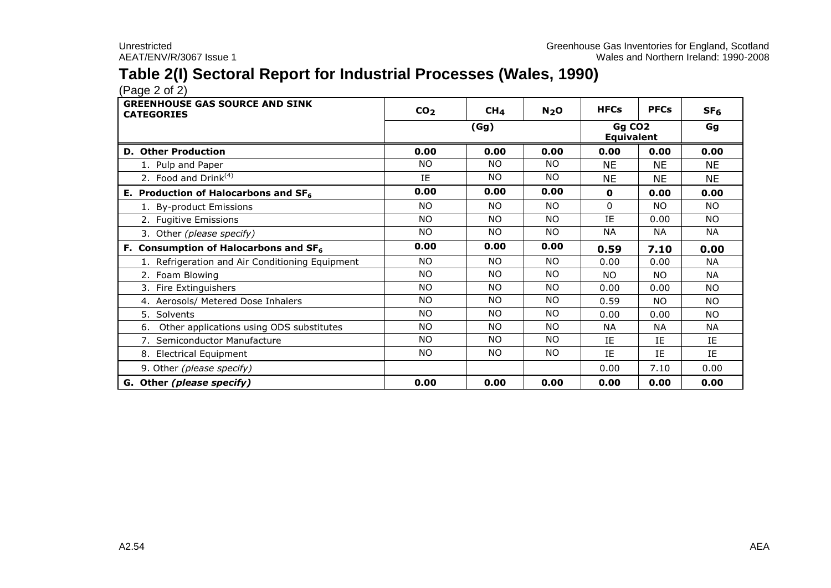### **Table 2(I) Sectoral Report for Industrial Processes (Wales, 1990)**

 $(Pa^2 \text{ or } 2)$ 

| <b>GREENHOUSE GAS SOURCE AND SINK</b><br><b>CATEGORIES</b> | CO <sub>2</sub> | CH <sub>4</sub> | N <sub>2</sub> O | <b>HFCs</b>                             | <b>PFCs</b> | SF <sub>6</sub> |
|------------------------------------------------------------|-----------------|-----------------|------------------|-----------------------------------------|-------------|-----------------|
|                                                            |                 | (Gg)            |                  | Gg CO <sub>2</sub><br><b>Equivalent</b> | Gg          |                 |
| <b>D. Other Production</b>                                 | 0.00            | 0.00            | 0.00             | 0.00                                    | 0.00        | 0.00            |
| 1. Pulp and Paper                                          | <b>NO</b>       | NO.             | NO.              | <b>NE</b>                               | <b>NE</b>   | <b>NE</b>       |
| 2. Food and Drink $(4)$                                    | IE              | <b>NO</b>       | <b>NO</b>        | <b>NE</b>                               | <b>NE</b>   | <b>NE</b>       |
| E. Production of Halocarbons and $SF6$                     | 0.00            | 0.00            | 0.00             | $\mathbf{o}$                            | 0.00        | 0.00            |
| 1. By-product Emissions                                    | NO.             | <b>NO</b>       | <b>NO</b>        | $\Omega$                                | NO.         | NO.             |
| 2. Fugitive Emissions                                      | NO.             | NO.             | <b>NO</b>        | IE                                      | 0.00        | NO.             |
| 3. Other (please specify)                                  | NO.             | NO.             | NO.              | <b>NA</b>                               | <b>NA</b>   | <b>NA</b>       |
| F. Consumption of Halocarbons and $SF6$                    | 0.00            | 0.00            | 0.00             | 0.59                                    | 7.10        | 0.00            |
| 1. Refrigeration and Air Conditioning Equipment            | NO.             | NO.             | NO.              | 0.00                                    | 0.00        | <b>NA</b>       |
| 2. Foam Blowing                                            | NO.             | NO.             | <b>NO</b>        | NO.                                     | NO.         | <b>NA</b>       |
| 3. Fire Extinguishers                                      | <b>NO</b>       | <b>NO</b>       | <b>NO</b>        | 0.00                                    | 0.00        | NO.             |
| 4. Aerosols/ Metered Dose Inhalers                         | NO.             | NO.             | <b>NO</b>        | 0.59                                    | NO.         | NO.             |
| 5. Solvents                                                | NO.             | <b>NO</b>       | <b>NO</b>        | 0.00                                    | 0.00        | <b>NO</b>       |
| Other applications using ODS substitutes<br>6.             | NO.             | NO.             | NO.              | <b>NA</b>                               | <b>NA</b>   | <b>NA</b>       |
| 7. Semiconductor Manufacture                               | NO.             | <b>NO</b>       | <b>NO</b>        | IE                                      | IE          | IE              |
| 8. Electrical Equipment                                    | NO.             | NO.             | NO.              | IE                                      | IE          | IE              |
| 9. Other (please specify)                                  |                 |                 |                  | 0.00                                    | 7.10        | 0.00            |
| G. Other (please specify)                                  | 0.00            | 0.00            | 0.00             | 0.00                                    | 0.00        | 0.00            |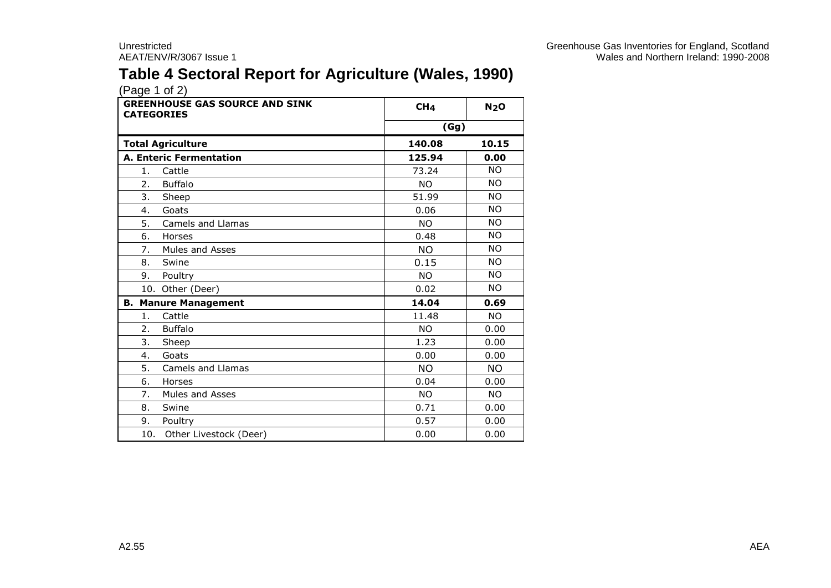### **Table 4 Sectoral Report for Agriculture (Wales, 1990)**

| <b>GREENHOUSE GAS SOURCE AND SINK</b><br><b>CATEGORIES</b> | CH <sub>4</sub> | N <sub>2</sub> O |
|------------------------------------------------------------|-----------------|------------------|
|                                                            | (Gg)            |                  |
| <b>Total Agriculture</b>                                   | 140.08          | 10.15            |
| <b>A. Enteric Fermentation</b>                             | 125.94          | 0.00             |
| Cattle<br>1.                                               | 73.24           | <b>NO</b>        |
| <b>Buffalo</b><br>2.                                       | <b>NO</b>       | <b>NO</b>        |
| 3.<br>Sheep                                                | 51.99           | <b>NO</b>        |
| Goats<br>4.                                                | 0.06            | <b>NO</b>        |
| 5.<br>Camels and Llamas                                    | <b>NO</b>       | <b>NO</b>        |
| Horses<br>6.                                               | 0.48            | <b>NO</b>        |
| 7.<br>Mules and Asses                                      | <b>NO</b>       | <b>NO</b>        |
| 8.<br>Swine                                                | 0.15            | <b>NO</b>        |
| 9.<br>Poultry                                              | <b>NO</b>       | <b>NO</b>        |
| 10. Other (Deer)                                           | 0.02            | <b>NO</b>        |
| <b>B. Manure Management</b>                                | 14.04           | 0.69             |
| Cattle<br>1.                                               | 11.48           | <b>NO</b>        |
| <b>Buffalo</b><br>2.                                       | <b>NO</b>       | 0.00             |
| 3.<br>Sheep                                                | 1.23            | 0.00             |
| Goats<br>4.                                                | 0.00            | 0.00             |
| 5.<br><b>Camels and Llamas</b>                             | <b>NO</b>       | <b>NO</b>        |
| 6.<br>Horses                                               | 0.04            | 0.00             |
| 7.<br><b>Mules and Asses</b>                               | <b>NO</b>       | <b>NO</b>        |
| 8.<br>Swine                                                | 0.71            | 0.00             |
| 9.<br>Poultry                                              | 0.57            | 0.00             |
| 10.<br>Other Livestock (Deer)                              | 0.00            | 0.00             |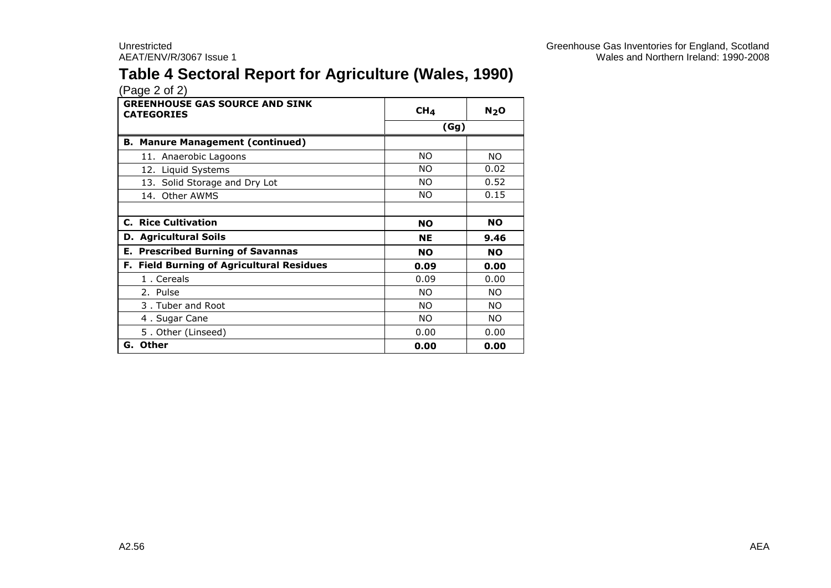### **Table 4 Sectoral Report for Agriculture (Wales, 1990)**

| <b>GREENHOUSE GAS SOURCE AND SINK</b><br><b>CATEGORIES</b> | CH <sub>4</sub> | N <sub>2</sub> O |
|------------------------------------------------------------|-----------------|------------------|
|                                                            | (Gg)            |                  |
| <b>B. Manure Management (continued)</b>                    |                 |                  |
| 11. Anaerobic Lagoons                                      | NO.             | NO.              |
| 12. Liquid Systems                                         | NO.             | 0.02             |
| 13. Solid Storage and Dry Lot                              | NO.             | 0.52             |
| 14. Other AWMS                                             | NO.             | 0.15             |
|                                                            |                 |                  |
| <b>C. Rice Cultivation</b>                                 | <b>NO</b>       | <b>NO</b>        |
| <b>D. Agricultural Soils</b>                               | <b>NE</b>       | 9.46             |
| <b>E. Prescribed Burning of Savannas</b>                   | <b>NO</b>       | <b>NO</b>        |
| F. Field Burning of Agricultural Residues                  | 0.09            | 0.00             |
| 1. Cereals                                                 | 0.09            | 0.00             |
| 2. Pulse                                                   | NO.             | NO.              |
| 3. Tuber and Root                                          | NO.             | NO.              |
| 4. Sugar Cane                                              | NO.             | NO.              |
| 5. Other (Linseed)                                         | 0.00            | 0.00             |
| G. Other                                                   | 0.00            | 0.00             |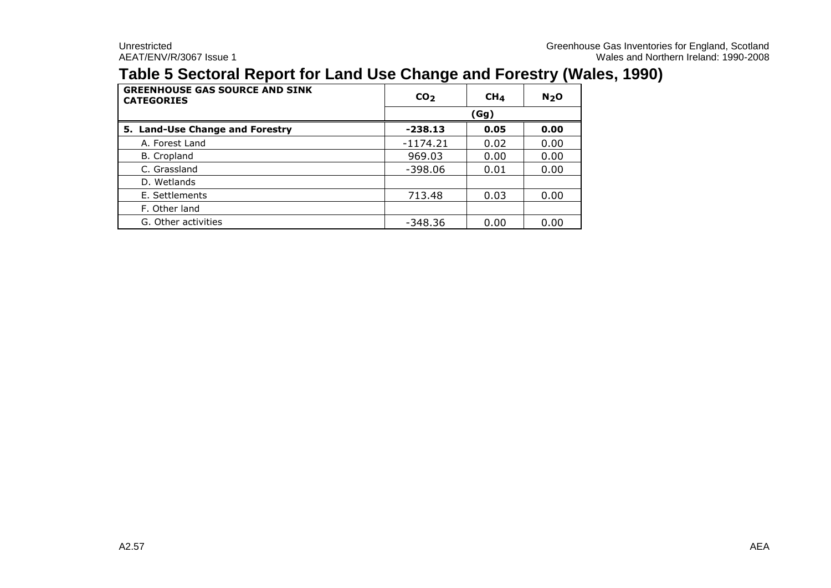### **Table 5 Sectoral Report for Land Use Change and Forestry (Wales, 1990)**

| <b>GREENHOUSE GAS SOURCE AND SINK</b><br><b>CATEGORIES</b> | CO <sub>2</sub> | CH <sub>4</sub> | N <sub>2</sub> O |  |  |  |  |
|------------------------------------------------------------|-----------------|-----------------|------------------|--|--|--|--|
|                                                            |                 | (Gg)            |                  |  |  |  |  |
| 5. Land-Use Change and Forestry                            | $-238.13$       | 0.00            |                  |  |  |  |  |
| A. Forest Land                                             | $-1174.21$      | 0.02            | 0.00             |  |  |  |  |
| B. Cropland                                                | 969.03          | 0.00            | 0.00             |  |  |  |  |
| C. Grassland                                               | $-398.06$       | 0.01            | 0.00             |  |  |  |  |
| D. Wetlands                                                |                 |                 |                  |  |  |  |  |
| E. Settlements                                             | 713.48          | 0.03            | 0.00             |  |  |  |  |
| F. Other land                                              |                 |                 |                  |  |  |  |  |
| G. Other activities                                        | $-348.36$       | 0.00            | 0.00             |  |  |  |  |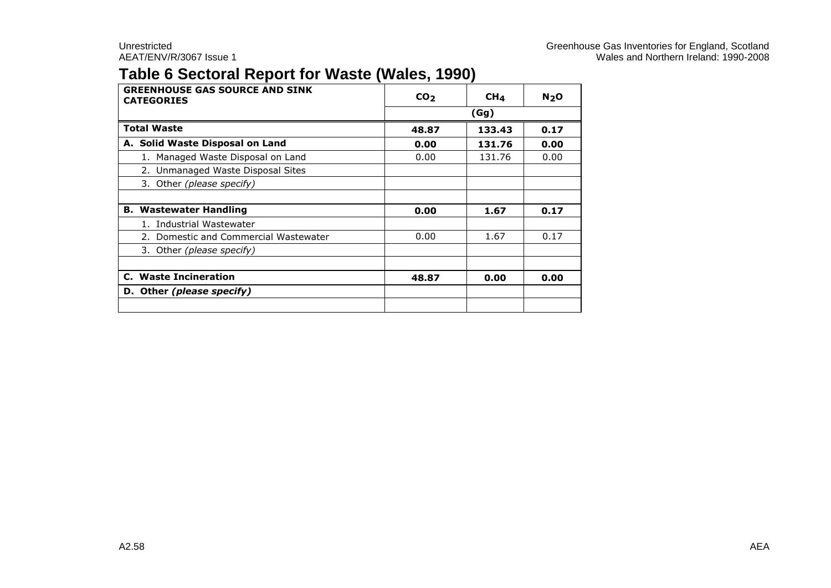### **Table 6 Sectoral Report for Waste (Wales, 1990)**

| <b>GREENHOUSE GAS SOURCE AND SINK</b><br><b>CATEGORIES</b> | CO <sub>2</sub><br>CH <sub>4</sub> |        | N <sub>2</sub> O |  |  |
|------------------------------------------------------------|------------------------------------|--------|------------------|--|--|
|                                                            |                                    | (Gg)   |                  |  |  |
| <b>Total Waste</b>                                         | 48.87<br>0.17<br>133.43            |        |                  |  |  |
| A. Solid Waste Disposal on Land                            | 0.00                               | 131.76 | 0.00             |  |  |
| 1. Managed Waste Disposal on Land                          | 0.00                               | 131.76 | 0.00             |  |  |
| 2. Unmanaged Waste Disposal Sites                          |                                    |        |                  |  |  |
| 3. Other (please specify)                                  |                                    |        |                  |  |  |
|                                                            |                                    |        |                  |  |  |
| <b>B. Wastewater Handling</b>                              | 0.00                               | 1.67   | 0.17             |  |  |
| 1. Industrial Wastewater                                   |                                    |        |                  |  |  |
| 2. Domestic and Commercial Wastewater                      | 0.00                               | 1.67   | 0.17             |  |  |
| 3. Other (please specify)                                  |                                    |        |                  |  |  |
|                                                            |                                    |        |                  |  |  |
| <b>C.</b> Waste Incineration                               | 48.87                              | 0.00   | 0.00             |  |  |
| D. Other (please specify)                                  |                                    |        |                  |  |  |
|                                                            |                                    |        |                  |  |  |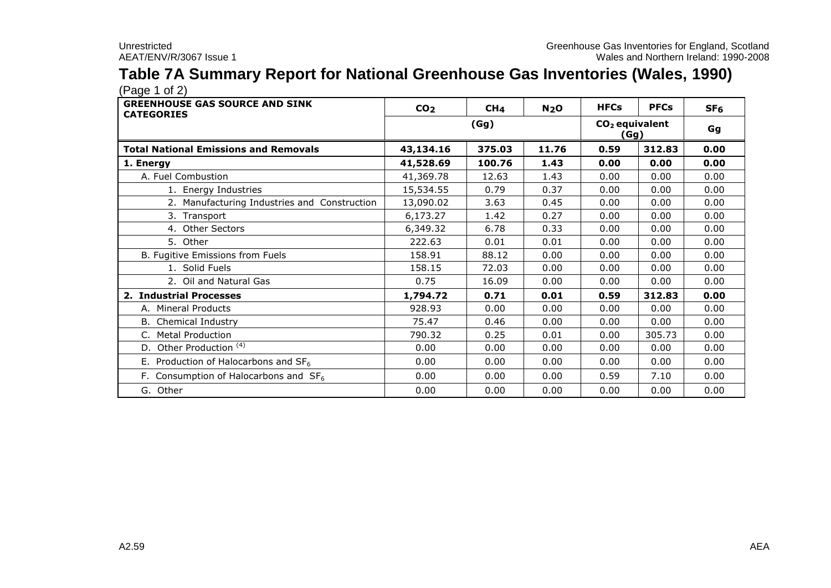## **Table 7A Summary Report for National Greenhouse Gas Inventories (Wales, 1990)**

| <b>GREENHOUSE GAS SOURCE AND SINK</b><br><b>CATEGORIES</b> | CO <sub>2</sub> | CH <sub>4</sub> | N <sub>2</sub> O | <b>HFCs</b>              | <b>PFCs</b> | SF <sub>6</sub> |
|------------------------------------------------------------|-----------------|-----------------|------------------|--------------------------|-------------|-----------------|
|                                                            |                 | (Gg)            |                  | $CO2$ equivalent<br>(Gg) | Gg          |                 |
| <b>Total National Emissions and Removals</b>               | 43,134.16       | 375.03          | 11.76            | 0.59                     | 312.83      | 0.00            |
| 1. Energy                                                  | 41,528.69       | 100.76          | 1.43             | 0.00                     | 0.00        | 0.00            |
| A. Fuel Combustion                                         | 41,369.78       | 12.63           | 1.43             | 0.00                     | 0.00        | 0.00            |
| 1. Energy Industries                                       | 15,534.55       | 0.79            | 0.37             | 0.00                     | 0.00        | 0.00            |
| 2. Manufacturing Industries and Construction               | 13,090.02       | 3.63            | 0.45             | 0.00                     | 0.00        | 0.00            |
| 3. Transport                                               | 6,173.27        | 1.42            | 0.27             | 0.00                     | 0.00        | 0.00            |
| 4. Other Sectors                                           | 6,349.32        | 6.78            | 0.33             | 0.00                     | 0.00        | 0.00            |
| 5. Other                                                   | 222.63          | 0.01            | 0.01             | 0.00                     | 0.00        | 0.00            |
| B. Fugitive Emissions from Fuels                           | 158.91          | 88.12           | 0.00             | 0.00                     | 0.00        | 0.00            |
| 1. Solid Fuels                                             | 158.15          | 72.03           | 0.00             | 0.00                     | 0.00        | 0.00            |
| 2. Oil and Natural Gas                                     | 0.75            | 16.09           | 0.00             | 0.00                     | 0.00        | 0.00            |
| 2. Industrial Processes                                    | 1,794.72        | 0.71            | 0.01             | 0.59                     | 312.83      | 0.00            |
| A. Mineral Products                                        | 928.93          | 0.00            | 0.00             | 0.00                     | 0.00        | 0.00            |
| B. Chemical Industry                                       | 75.47           | 0.46            | 0.00             | 0.00                     | 0.00        | 0.00            |
| C. Metal Production                                        | 790.32          | 0.25            | 0.01             | 0.00                     | 305.73      | 0.00            |
| D. Other Production <sup>(4)</sup>                         | 0.00            | 0.00            | 0.00             | 0.00                     | 0.00        | 0.00            |
| E. Production of Halocarbons and $SF6$                     | 0.00            | 0.00            | 0.00             | 0.00                     | 0.00        | 0.00            |
| F. Consumption of Halocarbons and $SF6$                    | 0.00            | 0.00            | 0.00             | 0.59                     | 7.10        | 0.00            |
| G. Other                                                   | 0.00            | 0.00            | 0.00             | 0.00                     | 0.00        | 0.00            |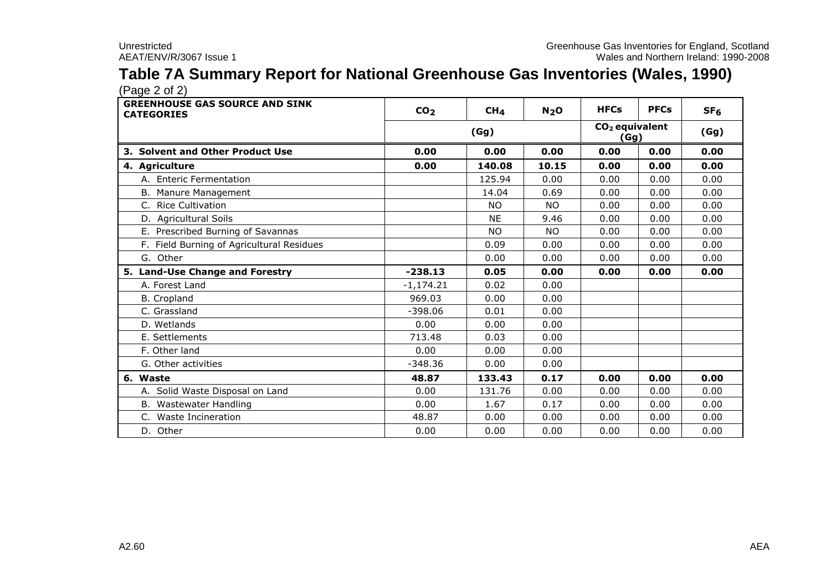## **Table 7A Summary Report for National Greenhouse Gas Inventories (Wales, 1990)**

| <b>GREENHOUSE GAS SOURCE AND SINK</b><br><b>CATEGORIES</b> | CO <sub>2</sub> | CH <sub>4</sub> | N <sub>2</sub> O                   | <b>HFCs</b> | <b>PFCs</b> | SF <sub>6</sub> |
|------------------------------------------------------------|-----------------|-----------------|------------------------------------|-------------|-------------|-----------------|
|                                                            |                 | (Gg)            | CO <sub>2</sub> equivalent<br>(Gg) |             |             | (Gg)            |
| 3. Solvent and Other Product Use                           | 0.00            | 0.00            | 0.00                               | 0.00        | 0.00        | 0.00            |
| 4. Agriculture                                             | 0.00            | 140.08          | 10.15                              | 0.00        | 0.00        | 0.00            |
| A. Enteric Fermentation                                    |                 | 125.94          | 0.00                               | 0.00        | 0.00        | 0.00            |
| B. Manure Management                                       |                 | 14.04           | 0.69                               | 0.00        | 0.00        | 0.00            |
| C. Rice Cultivation                                        |                 | <b>NO</b>       | <b>NO</b>                          | 0.00        | 0.00        | 0.00            |
| D. Agricultural Soils                                      |                 | <b>NE</b>       | 9.46                               | 0.00        | 0.00        | 0.00            |
| E. Prescribed Burning of Savannas                          |                 | <b>NO</b>       | <b>NO</b>                          | 0.00        | 0.00        | 0.00            |
| F. Field Burning of Agricultural Residues                  |                 | 0.09            | 0.00                               | 0.00        | 0.00        | 0.00            |
| G. Other                                                   |                 | 0.00            | 0.00                               | 0.00        | 0.00        | 0.00            |
| 5. Land-Use Change and Forestry                            | $-238.13$       | 0.05            | 0.00                               | 0.00        | 0.00        | 0.00            |
| A. Forest Land                                             | $-1,174.21$     | 0.02            | 0.00                               |             |             |                 |
| <b>B.</b> Cropland                                         | 969.03          | 0.00            | 0.00                               |             |             |                 |
| C. Grassland                                               | $-398.06$       | 0.01            | 0.00                               |             |             |                 |
| D. Wetlands                                                | 0.00            | 0.00            | 0.00                               |             |             |                 |
| E. Settlements                                             | 713.48          | 0.03            | 0.00                               |             |             |                 |
| F. Other land                                              | 0.00            | 0.00            | 0.00                               |             |             |                 |
| G. Other activities                                        | $-348.36$       | 0.00            | 0.00                               |             |             |                 |
| 6. Waste                                                   | 48.87           | 133.43          | 0.17                               | 0.00        | 0.00        | 0.00            |
| A. Solid Waste Disposal on Land                            | 0.00            | 131.76          | 0.00                               | 0.00        | 0.00        | 0.00            |
| B. Wastewater Handling                                     | 0.00            | 1.67            | 0.17                               | 0.00        | 0.00        | 0.00            |
| C. Waste Incineration                                      | 48.87           | 0.00            | 0.00                               | 0.00        | 0.00        | 0.00            |
| D. Other                                                   | 0.00            | 0.00            | 0.00                               | 0.00        | 0.00        | 0.00            |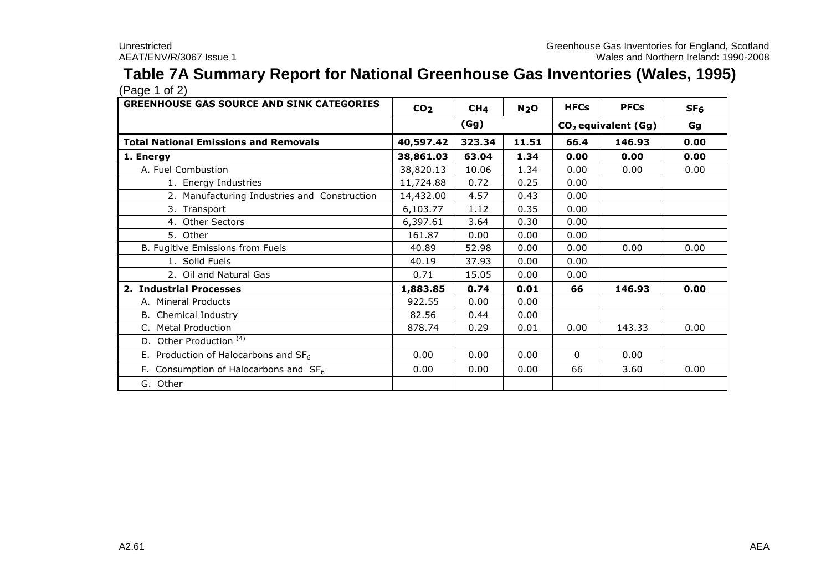## **Table 7A Summary Report for National Greenhouse Gas Inventories (Wales, 1995)**

| <b>GREENHOUSE GAS SOURCE AND SINK CATEGORIES</b> | CO <sub>2</sub> | CH <sub>4</sub> | N <sub>2</sub> O | <b>HFCs</b> | <b>PFCs</b>                     | SF <sub>6</sub> |  |
|--------------------------------------------------|-----------------|-----------------|------------------|-------------|---------------------------------|-----------------|--|
|                                                  |                 | (Gg)            |                  |             | CO <sub>2</sub> equivalent (Gg) |                 |  |
| <b>Total National Emissions and Removals</b>     | 40,597.42       | 323.34          | 11.51            | 66.4        | 146.93                          | 0.00            |  |
| 1. Energy                                        | 38,861.03       | 63.04           | 1.34             | 0.00        | 0.00                            | 0.00            |  |
| A. Fuel Combustion                               | 38,820.13       | 10.06           | 1.34             | 0.00        | 0.00                            | 0.00            |  |
| 1. Energy Industries                             | 11,724.88       | 0.72            | 0.25             | 0.00        |                                 |                 |  |
| 2. Manufacturing Industries and Construction     | 14,432.00       | 4.57            | 0.43             | 0.00        |                                 |                 |  |
| 3. Transport                                     | 6,103.77        | 1.12            | 0.35             | 0.00        |                                 |                 |  |
| 4. Other Sectors                                 | 6,397.61        | 3.64            | 0.30             | 0.00        |                                 |                 |  |
| 5. Other                                         | 161.87          | 0.00            | 0.00             | 0.00        |                                 |                 |  |
| B. Fugitive Emissions from Fuels                 | 40.89           | 52.98           | 0.00             | 0.00        | 0.00                            | 0.00            |  |
| 1. Solid Fuels                                   | 40.19           | 37.93           | 0.00             | 0.00        |                                 |                 |  |
| 2. Oil and Natural Gas                           | 0.71            | 15.05           | 0.00             | 0.00        |                                 |                 |  |
| 2. Industrial Processes                          | 1,883.85        | 0.74            | 0.01             | 66          | 146.93                          | 0.00            |  |
| A. Mineral Products                              | 922.55          | 0.00            | 0.00             |             |                                 |                 |  |
| <b>B.</b> Chemical Industry                      | 82.56           | 0.44            | 0.00             |             |                                 |                 |  |
| <b>Metal Production</b>                          | 878.74          | 0.29            | 0.01             | 0.00        | 143.33                          | 0.00            |  |
| D. Other Production <sup>(4)</sup>               |                 |                 |                  |             |                                 |                 |  |
| E. Production of Halocarbons and $SF6$           | 0.00            | 0.00            | 0.00             | 0           | 0.00                            |                 |  |
| F. Consumption of Halocarbons and $SF6$          | 0.00            | 0.00            | 0.00             | 66          | 3.60                            | 0.00            |  |
| G. Other                                         |                 |                 |                  |             |                                 |                 |  |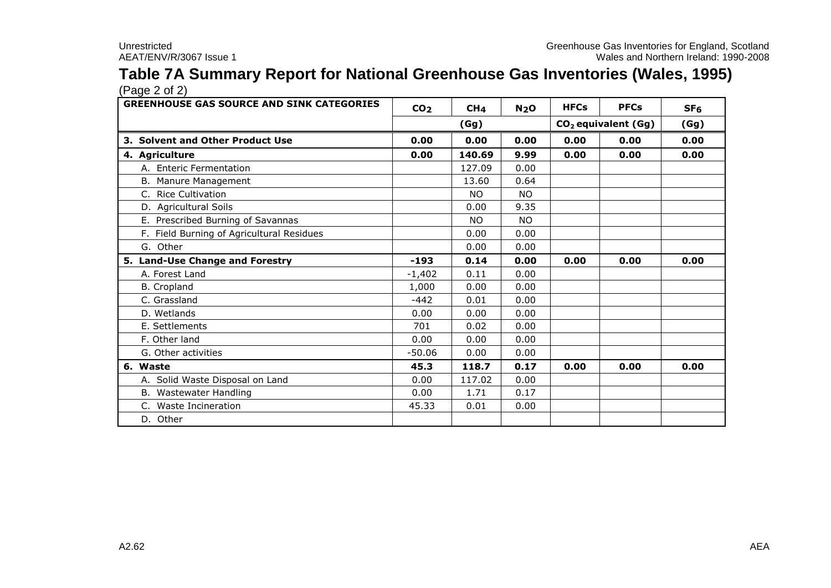#### **Table 7A Summary Report for National Greenhouse Gas Inventories (Wales, 1995)** (Page 2 of 2)

| <b>GREENHOUSE GAS SOURCE AND SINK CATEGORIES</b> | CO <sub>2</sub> | CH <sub>4</sub> | N <sub>2</sub> O | <b>HFCs</b> | <b>PFCs</b>                     | SF <sub>6</sub> |
|--------------------------------------------------|-----------------|-----------------|------------------|-------------|---------------------------------|-----------------|
|                                                  |                 | (Gg)            |                  |             | CO <sub>2</sub> equivalent (Gg) | (Gg)            |
| 3. Solvent and Other Product Use                 | 0.00            | 0.00            | 0.00             | 0.00        | 0.00                            | 0.00            |
| 4. Agriculture                                   | 0.00            | 140.69          | 9.99             | 0.00        | 0.00                            | 0.00            |
| A. Enteric Fermentation                          |                 | 127.09          | 0.00             |             |                                 |                 |
| B. Manure Management                             |                 | 13.60           | 0.64             |             |                                 |                 |
| C. Rice Cultivation                              |                 | <b>NO</b>       | NO.              |             |                                 |                 |
| D. Agricultural Soils                            |                 | 0.00            | 9.35             |             |                                 |                 |
| E. Prescribed Burning of Savannas                |                 | NO.             | NO.              |             |                                 |                 |
| F. Field Burning of Agricultural Residues        |                 | 0.00            | 0.00             |             |                                 |                 |
| G. Other                                         |                 | 0.00            | 0.00             |             |                                 |                 |
| 5. Land-Use Change and Forestry                  | $-193$          | 0.14            | 0.00             | 0.00        | 0.00                            | 0.00            |
| A. Forest Land                                   | $-1,402$        | 0.11            | 0.00             |             |                                 |                 |
| <b>B.</b> Cropland                               | 1,000           | 0.00            | 0.00             |             |                                 |                 |
| C. Grassland                                     | $-442$          | 0.01            | 0.00             |             |                                 |                 |
| D. Wetlands                                      | 0.00            | 0.00            | 0.00             |             |                                 |                 |
| E. Settlements                                   | 701             | 0.02            | 0.00             |             |                                 |                 |
| F. Other land                                    | 0.00            | 0.00            | 0.00             |             |                                 |                 |
| G. Other activities                              | $-50.06$        | 0.00            | 0.00             |             |                                 |                 |
| 6. Waste                                         | 45.3            | 118.7           | 0.17             | 0.00        | 0.00                            | 0.00            |
| A. Solid Waste Disposal on Land                  | 0.00            | 117.02          | 0.00             |             |                                 |                 |
| B. Wastewater Handling                           | 0.00            | 1.71            | 0.17             |             |                                 |                 |
| C. Waste Incineration                            | 45.33           | 0.01            | 0.00             |             |                                 |                 |
| D. Other                                         |                 |                 |                  |             |                                 |                 |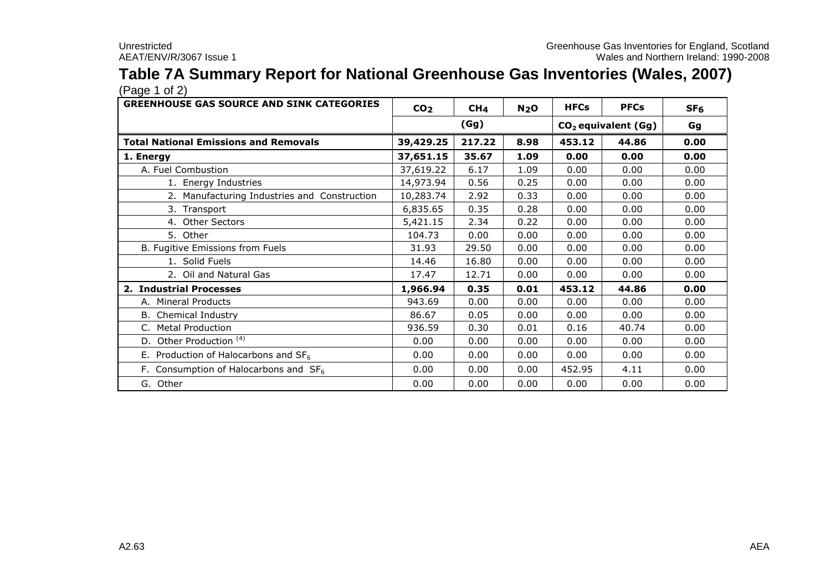# **Table 7A Summary Report for National Greenhouse Gas Inventories (Wales, 2007)**

| <b>GREENHOUSE GAS SOURCE AND SINK CATEGORIES</b> | CO <sub>2</sub> | CH <sub>4</sub> | N <sub>2</sub> O | <b>HFCs</b> | <b>PFCs</b>                     | SF <sub>6</sub> |  |
|--------------------------------------------------|-----------------|-----------------|------------------|-------------|---------------------------------|-----------------|--|
|                                                  |                 | (Gg)            |                  |             | CO <sub>2</sub> equivalent (Gg) |                 |  |
| <b>Total National Emissions and Removals</b>     | 39,429.25       | 217.22          | 8.98             | 453.12      | 44.86                           | 0.00            |  |
| 1. Energy                                        | 37,651.15       | 35.67           | 1.09             | 0.00        | 0.00                            | 0.00            |  |
| A. Fuel Combustion                               | 37,619.22       | 6.17            | 1.09             | 0.00        | 0.00                            | 0.00            |  |
| 1. Energy Industries                             | 14,973.94       | 0.56            | 0.25             | 0.00        | 0.00                            | 0.00            |  |
| 2. Manufacturing Industries and Construction     | 10,283.74       | 2.92            | 0.33             | 0.00        | 0.00                            | 0.00            |  |
| 3. Transport                                     | 6,835.65        | 0.35            | 0.28             | 0.00        | 0.00                            | 0.00            |  |
| 4. Other Sectors                                 | 5,421.15        | 2.34            | 0.22             | 0.00        | 0.00                            | 0.00            |  |
| 5. Other                                         | 104.73          | 0.00            | 0.00             | 0.00        | 0.00                            | 0.00            |  |
| B. Fugitive Emissions from Fuels                 | 31.93           | 29.50           | 0.00             | 0.00        | 0.00                            | 0.00            |  |
| 1. Solid Fuels                                   | 14.46           | 16.80           | 0.00             | 0.00        | 0.00                            | 0.00            |  |
| 2. Oil and Natural Gas                           | 17.47           | 12.71           | 0.00             | 0.00        | 0.00                            | 0.00            |  |
| 2. Industrial Processes                          | 1,966.94        | 0.35            | 0.01             | 453.12      | 44.86                           | 0.00            |  |
| A. Mineral Products                              | 943.69          | 0.00            | 0.00             | 0.00        | 0.00                            | 0.00            |  |
| Chemical Industry<br>В.                          | 86.67           | 0.05            | 0.00             | 0.00        | 0.00                            | 0.00            |  |
| C. Metal Production                              | 936.59          | 0.30            | 0.01             | 0.16        | 40.74                           | 0.00            |  |
| D. Other Production <sup>(4)</sup>               | 0.00            | 0.00            | 0.00             | 0.00        | 0.00                            | 0.00            |  |
| E. Production of Halocarbons and $SF6$           | 0.00            | 0.00            | 0.00             | 0.00        | 0.00                            | 0.00            |  |
| F. Consumption of Halocarbons and $SF6$          | 0.00            | 0.00            | 0.00             | 452.95      | 4.11                            | 0.00            |  |
| G. Other                                         | 0.00            | 0.00            | 0.00             | 0.00        | 0.00                            | 0.00            |  |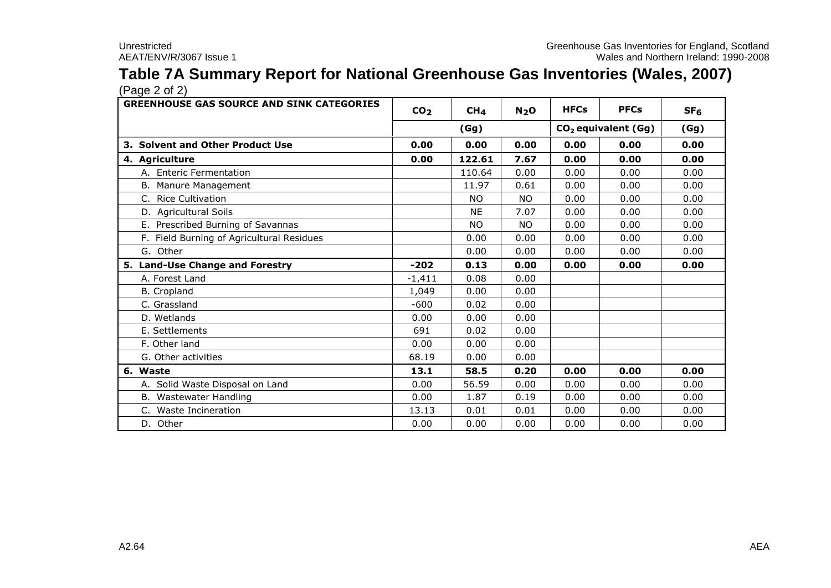### **Table 7A Summary Report for National Greenhouse Gas Inventories (Wales, 2007)** (Page 2 of 2)

| <b>GREENHOUSE GAS SOURCE AND SINK CATEGORIES</b> | CO <sub>2</sub> | CH <sub>4</sub> | N <sub>2</sub> O | <b>HFCs</b>                     | <b>PFCs</b> | SF <sub>6</sub> |
|--------------------------------------------------|-----------------|-----------------|------------------|---------------------------------|-------------|-----------------|
|                                                  |                 | (Gg)            |                  | CO <sub>2</sub> equivalent (Gg) | (Gg)        |                 |
| 3. Solvent and Other Product Use                 | 0.00            | 0.00            | 0.00             | 0.00                            | 0.00        | 0.00            |
| 4. Agriculture                                   | 0.00            | 122.61          | 7.67             | 0.00                            | 0.00        | 0.00            |
| A. Enteric Fermentation                          |                 | 110.64          | 0.00             | 0.00                            | 0.00        | 0.00            |
| B. Manure Management                             |                 | 11.97           | 0.61             | 0.00                            | 0.00        | 0.00            |
| <b>Rice Cultivation</b><br>C.                    |                 | <b>NO</b>       | <b>NO</b>        | 0.00                            | 0.00        | 0.00            |
| D. Agricultural Soils                            |                 | <b>NE</b>       | 7.07             | 0.00                            | 0.00        | 0.00            |
| E. Prescribed Burning of Savannas                |                 | <b>NO</b>       | <b>NO</b>        | 0.00                            | 0.00        | 0.00            |
| F. Field Burning of Agricultural Residues        |                 | 0.00            | 0.00             | 0.00                            | 0.00        | 0.00            |
| G. Other                                         |                 | 0.00            | 0.00             | 0.00                            | 0.00        | 0.00            |
| 5. Land-Use Change and Forestry                  | $-202$          | 0.13            | 0.00             | 0.00                            | 0.00        | 0.00            |
| A. Forest Land                                   | $-1.411$        | 0.08            | 0.00             |                                 |             |                 |
| B. Cropland                                      | 1,049           | 0.00            | 0.00             |                                 |             |                 |
| C. Grassland                                     | $-600$          | 0.02            | 0.00             |                                 |             |                 |
| D. Wetlands                                      | 0.00            | 0.00            | 0.00             |                                 |             |                 |
| E. Settlements                                   | 691             | 0.02            | 0.00             |                                 |             |                 |
| F. Other land                                    | 0.00            | 0.00            | 0.00             |                                 |             |                 |
| G. Other activities                              | 68.19           | 0.00            | 0.00             |                                 |             |                 |
| 6. Waste                                         | 13.1            | 58.5            | 0.20             | 0.00                            | 0.00        | 0.00            |
| A. Solid Waste Disposal on Land                  | 0.00            | 56.59           | 0.00             | 0.00                            | 0.00        | 0.00            |
| B. Wastewater Handling                           | 0.00            | 1.87            | 0.19             | 0.00                            | 0.00        | 0.00            |
| C. Waste Incineration                            | 13.13           | 0.01            | 0.01             | 0.00                            | 0.00        | 0.00            |
| D. Other                                         | 0.00            | 0.00            | 0.00             | 0.00                            | 0.00        | 0.00            |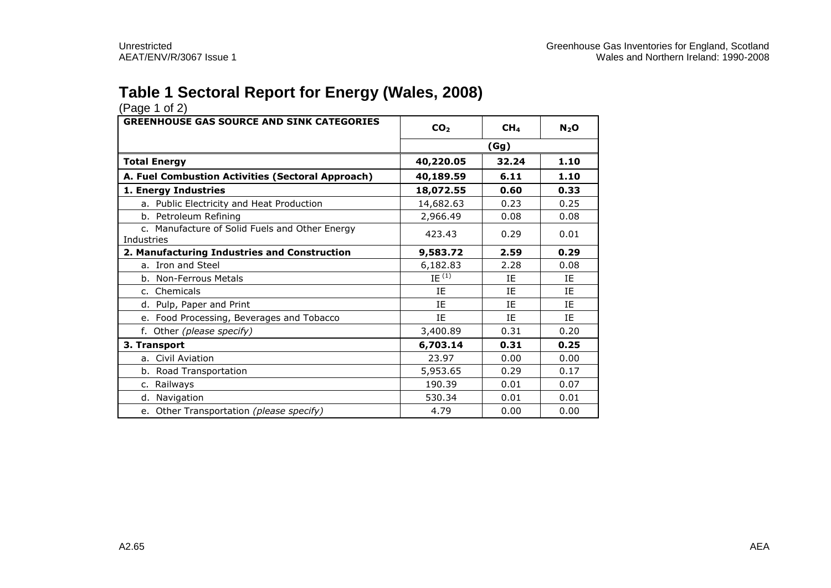### **Table 1 Sectoral Report for Energy (Wales, 2008)**

| (Page 1 01 Z)                                                |                                    |       |           |
|--------------------------------------------------------------|------------------------------------|-------|-----------|
| <b>GREENHOUSE GAS SOURCE AND SINK CATEGORIES</b>             | CO <sub>2</sub><br>CH <sub>4</sub> |       | $N_2$ O   |
|                                                              | (Gg)                               |       |           |
| <b>Total Energy</b>                                          | 40,220.05                          | 32.24 | 1.10      |
| A. Fuel Combustion Activities (Sectoral Approach)            | 40,189.59                          | 6.11  | 1.10      |
| 1. Energy Industries                                         | 18,072.55                          | 0.60  | 0.33      |
| a. Public Electricity and Heat Production                    | 14,682.63                          | 0.23  | 0.25      |
| b. Petroleum Refining                                        | 2,966.49                           | 0.08  | 0.08      |
| c. Manufacture of Solid Fuels and Other Energy<br>Industries | 423.43                             | 0.29  | 0.01      |
| 2. Manufacturing Industries and Construction                 | 9,583.72                           | 2.59  | 0.29      |
| a. Iron and Steel                                            | 6,182.83                           | 2.28  | 0.08      |
| b. Non-Ferrous Metals                                        | IE $\overline{^{(1)}}$             | ΙF    | <b>IF</b> |
| c. Chemicals                                                 | ΙE                                 | IE    | ΙE        |
| d. Pulp, Paper and Print                                     | IE                                 | IE    | IE        |
| e. Food Processing, Beverages and Tobacco                    | ΙE                                 | IE    | ΙE        |
| f. Other (please specify)                                    | 3,400.89                           | 0.31  | 0.20      |
| 3. Transport                                                 | 6,703.14                           | 0.31  | 0.25      |
| a. Civil Aviation                                            | 23.97                              | 0.00  | 0.00      |
| b. Road Transportation                                       | 5,953.65                           | 0.29  | 0.17      |
| c. Railways                                                  | 190.39                             | 0.01  | 0.07      |
| d. Navigation                                                | 530.34                             | 0.01  | 0.01      |
| e. Other Transportation (please specify)                     | 4.79                               | 0.00  | 0.00      |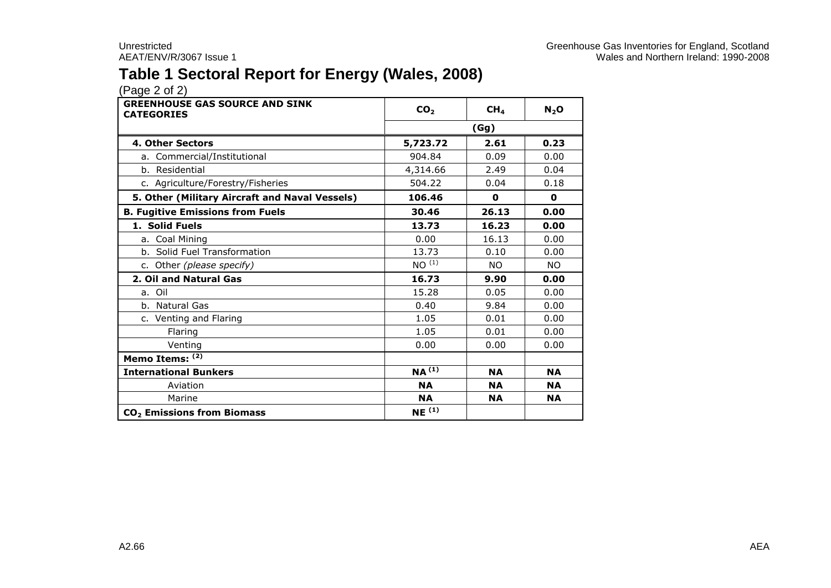### **Table 1 Sectoral Report for Energy (Wales, 2008)**

| <b>GREENHOUSE GAS SOURCE AND SINK</b><br><b>CATEGORIES</b> | CO <sub>2</sub>   | CH <sub>4</sub> | $N_2$ O   |  |
|------------------------------------------------------------|-------------------|-----------------|-----------|--|
|                                                            | (Gg)              |                 |           |  |
| 4. Other Sectors                                           | 5,723.72          | 2.61            | 0.23      |  |
| a. Commercial/Institutional                                | 904.84            | 0.09            | 0.00      |  |
| b. Residential                                             | 4,314.66          | 2.49            | 0.04      |  |
| c. Agriculture/Forestry/Fisheries                          | 504.22            | 0.04            | 0.18      |  |
| 5. Other (Military Aircraft and Naval Vessels)             | 106.46            | $\mathbf 0$     | 0         |  |
| <b>B. Fugitive Emissions from Fuels</b>                    | 30.46             | 26.13           | 0.00      |  |
| 1. Solid Fuels                                             | 13.73             | 16.23           | 0.00      |  |
| a. Coal Mining                                             | 0.00              | 16.13           | 0.00      |  |
| b. Solid Fuel Transformation                               | 13.73             | 0.10            | 0.00      |  |
| c. Other (please specify)                                  | NO <sup>(1)</sup> | <b>NO</b>       | <b>NO</b> |  |
| 2. Oil and Natural Gas                                     | 16.73             | 9.90            | 0.00      |  |
| a. Oil                                                     | 15.28             | 0.05            | 0.00      |  |
| b. Natural Gas                                             | 0.40              | 9.84            | 0.00      |  |
| c. Venting and Flaring                                     | 1.05              | 0.01            | 0.00      |  |
| Flaring                                                    | 1.05              | 0.01            | 0.00      |  |
| Venting                                                    | 0.00              | 0.00            | 0.00      |  |
| Memo Items: (2)                                            |                   |                 |           |  |
| <b>International Bunkers</b>                               | $NA^{(1)}$        | <b>NA</b>       | <b>NA</b> |  |
| Aviation                                                   | <b>NA</b>         | <b>NA</b>       | <b>NA</b> |  |
| Marine                                                     | <b>NA</b>         | <b>NA</b>       | <b>NA</b> |  |
| CO <sub>2</sub> Emissions from Biomass                     | NE <sup>(1)</sup> |                 |           |  |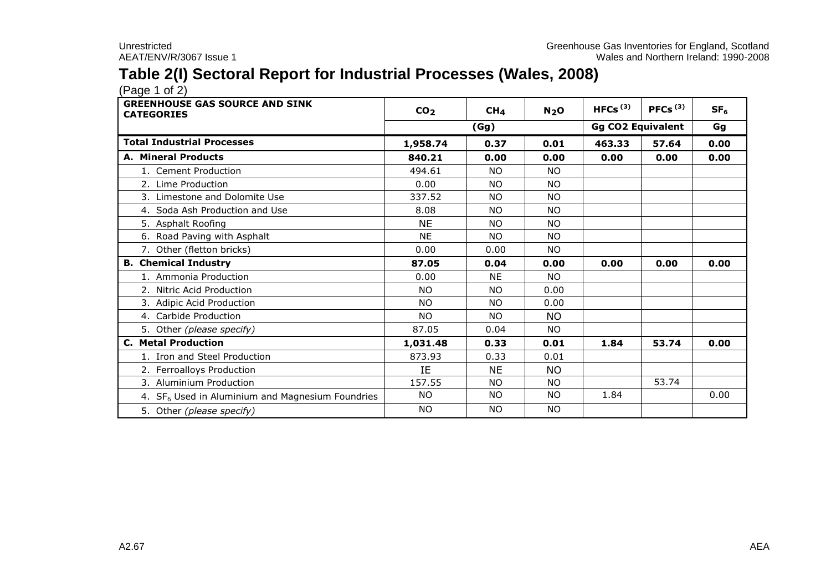### **Table 2(I) Sectoral Report for Industrial Processes (Wales, 2008)**

| <b>GREENHOUSE GAS SOURCE AND SINK</b><br><b>CATEGORIES</b>   | CO <sub>2</sub> | CH <sub>4</sub> | N <sub>2</sub> O | HFCs $(3)$ | PFCs $(3)$               | SF <sub>6</sub> |
|--------------------------------------------------------------|-----------------|-----------------|------------------|------------|--------------------------|-----------------|
|                                                              |                 | (Gg)            |                  |            | <b>Gg CO2 Equivalent</b> | Gg              |
| <b>Total Industrial Processes</b>                            | 1,958.74        | 0.37            | 0.01             | 463.33     | 57.64                    | 0.00            |
| A. Mineral Products                                          | 840.21          | 0.00            | 0.00             | 0.00       | 0.00                     | 0.00            |
| 1. Cement Production                                         | 494.61          | <b>NO</b>       | <b>NO</b>        |            |                          |                 |
| 2. Lime Production                                           | 0.00            | <b>NO</b>       | <b>NO</b>        |            |                          |                 |
| 3. Limestone and Dolomite Use                                | 337.52          | <b>NO</b>       | <b>NO</b>        |            |                          |                 |
| 4. Soda Ash Production and Use                               | 8.08            | <b>NO</b>       | <b>NO</b>        |            |                          |                 |
| 5. Asphalt Roofing                                           | <b>NE</b>       | <b>NO</b>       | <b>NO</b>        |            |                          |                 |
| 6. Road Paving with Asphalt                                  | <b>NE</b>       | <b>NO</b>       | <b>NO</b>        |            |                          |                 |
| 7. Other (fletton bricks)                                    | 0.00            | 0.00            | <b>NO</b>        |            |                          |                 |
| <b>B.</b> Chemical Industry                                  | 87.05           | 0.04            | 0.00             | 0.00       | 0.00                     | 0.00            |
| 1. Ammonia Production                                        | 0.00            | <b>NE</b>       | <b>NO</b>        |            |                          |                 |
| 2. Nitric Acid Production                                    | NO.             | NO.             | 0.00             |            |                          |                 |
| 3. Adipic Acid Production                                    | <b>NO</b>       | <b>NO</b>       | 0.00             |            |                          |                 |
| 4. Carbide Production                                        | NO.             | <b>NO</b>       | <b>NO</b>        |            |                          |                 |
| 5. Other (please specify)                                    | 87.05           | 0.04            | NO.              |            |                          |                 |
| <b>C. Metal Production</b>                                   | 1,031.48        | 0.33            | 0.01             | 1.84       | 53.74                    | 0.00            |
| 1. Iron and Steel Production                                 | 873.93          | 0.33            | 0.01             |            |                          |                 |
| 2. Ferroalloys Production                                    | IE              | <b>NE</b>       | <b>NO</b>        |            |                          |                 |
| 3. Aluminium Production                                      | 157.55          | <b>NO</b>       | NO.              |            | 53.74                    |                 |
| 4. SF <sub>6</sub> Used in Aluminium and Magnesium Foundries | <b>NO</b>       | NO.             | <b>NO</b>        | 1.84       |                          | 0.00            |
| 5. Other (please specify)                                    | <b>NO</b>       | <b>NO</b>       | <b>NO</b>        |            |                          |                 |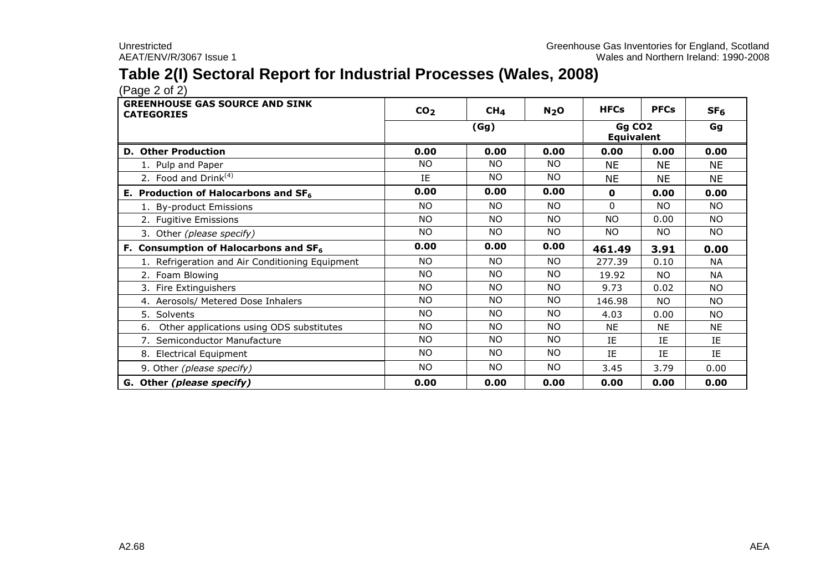### **Table 2(I) Sectoral Report for Industrial Processes (Wales, 2008)**

| <b>GREENHOUSE GAS SOURCE AND SINK</b><br><b>CATEGORIES</b> | CO <sub>2</sub> | CH <sub>4</sub> | N <sub>2</sub> O | <b>HFCs</b>                             | <b>PFCs</b> | SF <sub>6</sub> |
|------------------------------------------------------------|-----------------|-----------------|------------------|-----------------------------------------|-------------|-----------------|
|                                                            |                 | (Gg)            |                  | Gg CO <sub>2</sub><br><b>Equivalent</b> | Gg          |                 |
| <b>D. Other Production</b>                                 | 0.00            | 0.00            | 0.00             | 0.00                                    | 0.00        | 0.00            |
| 1. Pulp and Paper                                          | <b>NO</b>       | NO.             | NO.              | <b>NE</b>                               | <b>NE</b>   | <b>NE</b>       |
| 2. Food and Drink <sup>(4)</sup>                           | IE              | NO.             | NO.              | NE.                                     | ΝE          | <b>NE</b>       |
| E. Production of Halocarbons and $SF6$                     | 0.00            | 0.00            | 0.00             | $\mathbf{o}$                            | 0.00        | 0.00            |
| 1. By-product Emissions                                    | NO.             | <b>NO</b>       | NO.              | $\Omega$                                | NO.         | NO.             |
| 2. Fugitive Emissions                                      | <b>NO</b>       | NO.             | <b>NO</b>        | <b>NO</b>                               | 0.00        | <b>NO</b>       |
| 3. Other (please specify)                                  | <b>NO</b>       | NO.             | NO.              | NO.                                     | NO.         | <b>NO</b>       |
| F. Consumption of Halocarbons and SF <sub>6</sub>          | 0.00            | 0.00            | 0.00             | 461.49                                  | 3.91        | 0.00            |
| 1. Refrigeration and Air Conditioning Equipment            | <b>NO</b>       | NO.             | <b>NO</b>        | 277.39                                  | 0.10        | <b>NA</b>       |
| 2. Foam Blowing                                            | <b>NO</b>       | NO.             | NO.              | 19.92                                   | NO.         | <b>NA</b>       |
| 3. Fire Extinguishers                                      | <b>NO</b>       | <b>NO</b>       | NO.              | 9.73                                    | 0.02        | NO.             |
| 4. Aerosols/ Metered Dose Inhalers                         | <b>NO</b>       | <b>NO</b>       | NO.              | 146.98                                  | NO.         | NO.             |
| 5. Solvents                                                | <b>NO</b>       | NO.             | <b>NO</b>        | 4.03                                    | 0.00        | NO.             |
| Other applications using ODS substitutes<br>6.             | NO.             | <b>NO</b>       | NO.              | NE                                      | <b>NE</b>   | <b>NE</b>       |
| 7. Semiconductor Manufacture                               | <b>NO</b>       | <b>NO</b>       | NO.              | ΙE                                      | IE          | IE              |
| 8. Electrical Equipment                                    | <b>NO</b>       | NO.             | NO.              | IE                                      | IE          | IE              |
| 9. Other (please specify)                                  | <b>NO</b>       | NO.             | NO.              | 3.45                                    | 3.79        | 0.00            |
| G. Other (please specify)                                  | 0.00            | 0.00            | 0.00             | 0.00                                    | 0.00        | 0.00            |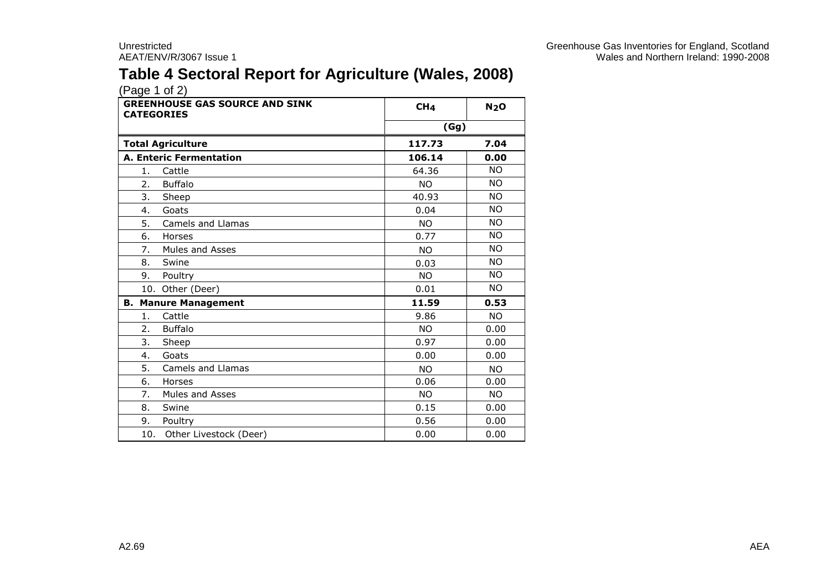## **Table 4 Sectoral Report for Agriculture (Wales, 2008)**

| <b>GREENHOUSE GAS SOURCE AND SINK</b><br><b>CATEGORIES</b> | CH <sub>4</sub> | N <sub>2</sub> O |
|------------------------------------------------------------|-----------------|------------------|
|                                                            | (Gg)            |                  |
| <b>Total Agriculture</b>                                   | 117.73          | 7.04             |
| <b>A. Enteric Fermentation</b>                             | 106.14          | 0.00             |
| 1.<br>Cattle                                               | 64.36           | <b>NO</b>        |
| <b>Buffalo</b><br>2.                                       | NO.             | <b>NO</b>        |
| 3.<br>Sheep                                                | 40.93           | <b>NO</b>        |
| Goats<br>4.                                                | 0.04            | <b>NO</b>        |
| 5.<br>Camels and Llamas                                    | <b>NO</b>       | <b>NO</b>        |
| Horses<br>6.                                               | 0.77            | <b>NO</b>        |
| 7.<br>Mules and Asses                                      | <b>NO</b>       | <b>NO</b>        |
| 8.<br>Swine                                                | 0.03            | <b>NO</b>        |
| 9.<br>Poultry                                              | NO.             | <b>NO</b>        |
| 10. Other (Deer)                                           | 0.01            | NO.              |
| <b>B. Manure Management</b>                                | 11.59           | 0.53             |
| Cattle<br>1.                                               | 9.86            | <b>NO</b>        |
| <b>Buffalo</b><br>2.                                       | NO.             | 0.00             |
| 3.<br>Sheep                                                | 0.97            | 0.00             |
| Goats<br>4.                                                | 0.00            | 0.00             |
| 5.<br><b>Camels and Llamas</b>                             | NO.             | NO.              |
| 6.<br>Horses                                               | 0.06            | 0.00             |
| 7.<br>Mules and Asses                                      | NO.             | <b>NO</b>        |
| 8.<br>Swine                                                | 0.15            | 0.00             |
| 9.<br>Poultry                                              | 0.56            | 0.00             |
| 10.<br>Other Livestock (Deer)                              | 0.00            | 0.00             |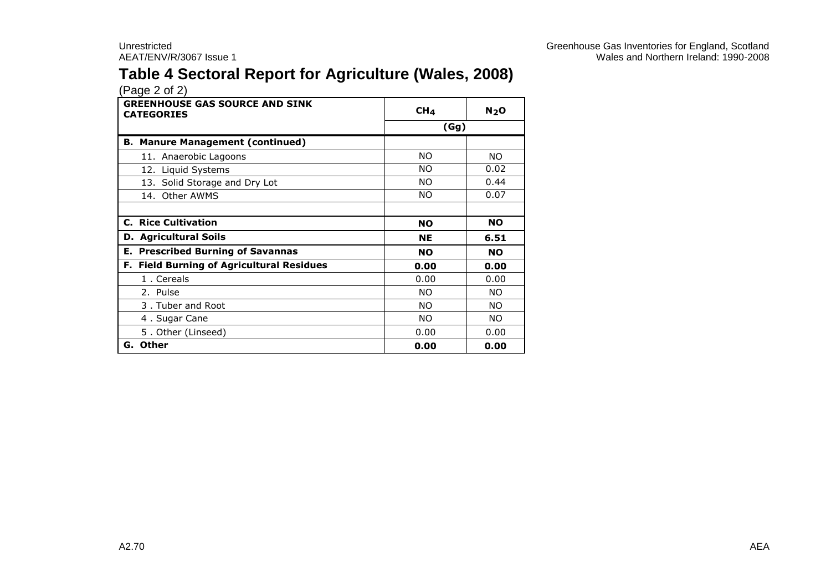## **Table 4 Sectoral Report for Agriculture (Wales, 2008)**

| <b>GREENHOUSE GAS SOURCE AND SINK</b><br><b>CATEGORIES</b> | CH <sub>4</sub> | N <sub>2</sub> O |
|------------------------------------------------------------|-----------------|------------------|
|                                                            | (Gg)            |                  |
| <b>B. Manure Management (continued)</b>                    |                 |                  |
| 11. Anaerobic Lagoons                                      | <b>NO</b>       | NO.              |
| 12. Liquid Systems                                         | NO.             | 0.02             |
| 13. Solid Storage and Dry Lot                              | NO.             | 0.44             |
| 14. Other AWMS                                             | NO.             | 0.07             |
|                                                            |                 |                  |
| <b>C. Rice Cultivation</b>                                 | <b>NO</b>       | <b>NO</b>        |
| <b>D. Agricultural Soils</b>                               | <b>NE</b>       | 6.51             |
| <b>E. Prescribed Burning of Savannas</b>                   | <b>NO</b>       | <b>NO</b>        |
| F. Field Burning of Agricultural Residues                  | 0.00            | 0.00             |
| 1. Cereals                                                 | 0.00            | 0.00             |
| 2. Pulse                                                   | <b>NO</b>       | <b>NO</b>        |
| 3. Tuber and Root                                          | NO.             | NO.              |
| 4. Sugar Cane                                              | NO.             | NO.              |
| 5. Other (Linseed)                                         | 0.00            | 0.00             |
| G. Other                                                   | 0.00            | 0.00             |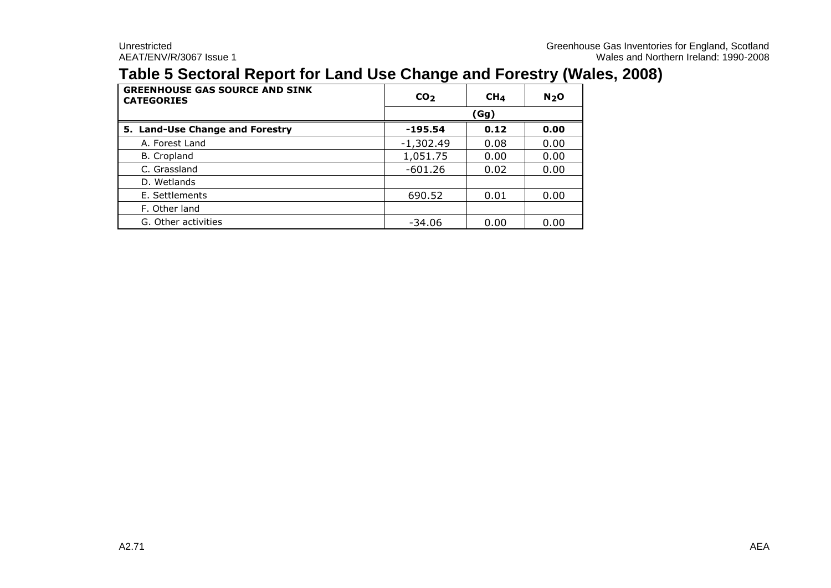### **Table 5 Sectoral Report for Land Use Change and Forestry (Wales, 2008)**

| <b>GREENHOUSE GAS SOURCE AND SINK</b><br><b>CATEGORIES</b> | CO <sub>2</sub> | CH <sub>4</sub> | N <sub>2</sub> O |  |  |  |
|------------------------------------------------------------|-----------------|-----------------|------------------|--|--|--|
|                                                            |                 | (Gg)            |                  |  |  |  |
| 5. Land-Use Change and Forestry                            | $-195.54$       | 0.12<br>0.00    |                  |  |  |  |
| A. Forest Land                                             | $-1,302.49$     | 0.08            | 0.00             |  |  |  |
| <b>B.</b> Cropland                                         | 1,051.75        | 0.00            | 0.00             |  |  |  |
| C. Grassland                                               | $-601.26$       | 0.02            | 0.00             |  |  |  |
| D. Wetlands                                                |                 |                 |                  |  |  |  |
| E. Settlements                                             | 690.52          | 0.01            | 0.00             |  |  |  |
| F. Other land                                              |                 |                 |                  |  |  |  |
| G. Other activities                                        | $-34.06$        | 0.00            | 0.00             |  |  |  |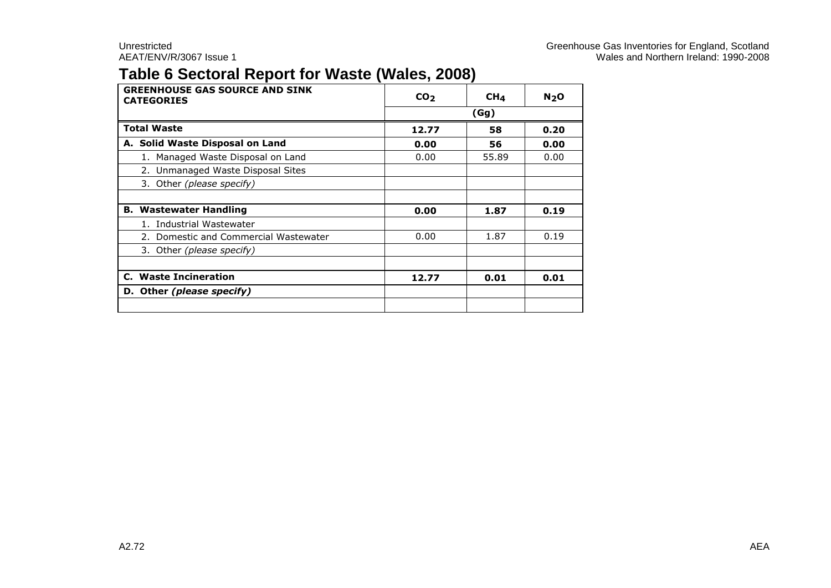### **Table 6 Sectoral Report for Waste (Wales, 2008)**

| <b>GREENHOUSE GAS SOURCE AND SINK</b><br><b>CATEGORIES</b> | CO <sub>2</sub> | CH <sub>4</sub> | N <sub>2</sub> O |  |
|------------------------------------------------------------|-----------------|-----------------|------------------|--|
|                                                            | (Gg)            |                 |                  |  |
| <b>Total Waste</b>                                         | 12.77           | 58              | 0.20             |  |
| A. Solid Waste Disposal on Land                            | 0.00            | 56              | 0.00             |  |
| 1. Managed Waste Disposal on Land                          | 0.00            | 55.89           | 0.00             |  |
| 2. Unmanaged Waste Disposal Sites                          |                 |                 |                  |  |
| 3. Other (please specify)                                  |                 |                 |                  |  |
|                                                            |                 |                 |                  |  |
| <b>B. Wastewater Handling</b>                              | 0.00            | 1.87            | 0.19             |  |
| 1. Industrial Wastewater                                   |                 |                 |                  |  |
| 2. Domestic and Commercial Wastewater                      | 0.00            | 1.87            | 0.19             |  |
| 3. Other (please specify)                                  |                 |                 |                  |  |
|                                                            |                 |                 |                  |  |
| C. Waste Incineration                                      | 12.77           | 0.01            | 0.01             |  |
| D. Other (please specify)                                  |                 |                 |                  |  |
|                                                            |                 |                 |                  |  |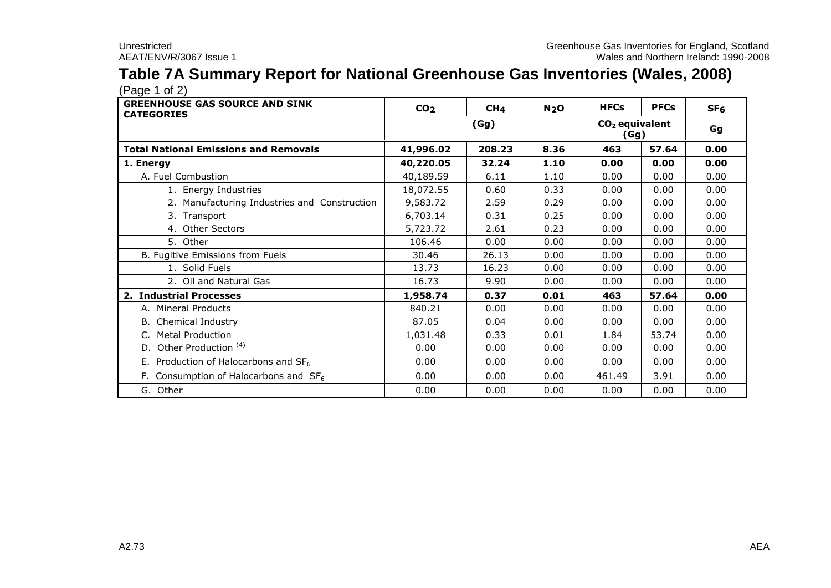### **Table 7A Summary Report for National Greenhouse Gas Inventories (Wales, 2008)**

| <b>GREENHOUSE GAS SOURCE AND SINK</b><br><b>CATEGORIES</b> | CO <sub>2</sub> | CH <sub>4</sub> | N <sub>2</sub> O | <b>HFCs</b> | <b>PFCs</b>              | SF <sub>6</sub> |  |
|------------------------------------------------------------|-----------------|-----------------|------------------|-------------|--------------------------|-----------------|--|
|                                                            |                 | (Gg)            |                  |             | $CO2$ equivalent<br>(Gg) |                 |  |
| <b>Total National Emissions and Removals</b>               | 41,996.02       | 208.23          | 8.36             | 463         | 57.64                    | 0.00            |  |
| 1. Energy                                                  | 40,220.05       | 32.24           | 1.10             | 0.00        | 0.00                     | 0.00            |  |
| A. Fuel Combustion                                         | 40,189.59       | 6.11            | 1.10             | 0.00        | 0.00                     | 0.00            |  |
| 1. Energy Industries                                       | 18,072.55       | 0.60            | 0.33             | 0.00        | 0.00                     | 0.00            |  |
| 2. Manufacturing Industries and Construction               | 9,583.72        | 2.59            | 0.29             | 0.00        | 0.00                     | 0.00            |  |
| 3. Transport                                               | 6,703.14        | 0.31            | 0.25             | 0.00        | 0.00                     | 0.00            |  |
| 4. Other Sectors                                           | 5,723.72        | 2.61            | 0.23             | 0.00        | 0.00                     | 0.00            |  |
| 5. Other                                                   | 106.46          | 0.00            | 0.00             | 0.00        | 0.00                     | 0.00            |  |
| B. Fugitive Emissions from Fuels                           | 30.46           | 26.13           | 0.00             | 0.00        | 0.00                     | 0.00            |  |
| 1. Solid Fuels                                             | 13.73           | 16.23           | 0.00             | 0.00        | 0.00                     | 0.00            |  |
| 2. Oil and Natural Gas                                     | 16.73           | 9.90            | 0.00             | 0.00        | 0.00                     | 0.00            |  |
| 2. Industrial Processes                                    | 1,958.74        | 0.37            | 0.01             | 463         | 57.64                    | 0.00            |  |
| A. Mineral Products                                        | 840.21          | 0.00            | 0.00             | 0.00        | 0.00                     | 0.00            |  |
| <b>B.</b> Chemical Industry                                | 87.05           | 0.04            | 0.00             | 0.00        | 0.00                     | 0.00            |  |
| C. Metal Production                                        | 1,031.48        | 0.33            | 0.01             | 1.84        | 53.74                    | 0.00            |  |
| D. Other Production <sup>(4)</sup>                         | 0.00            | 0.00            | 0.00             | 0.00        | 0.00                     | 0.00            |  |
| E. Production of Halocarbons and $SF6$                     | 0.00            | 0.00            | 0.00             | 0.00        | 0.00                     | 0.00            |  |
| F. Consumption of Halocarbons and $SF6$                    | 0.00            | 0.00            | 0.00             | 461.49      | 3.91                     | 0.00            |  |
| G. Other                                                   | 0.00            | 0.00            | 0.00             | 0.00        | 0.00                     | 0.00            |  |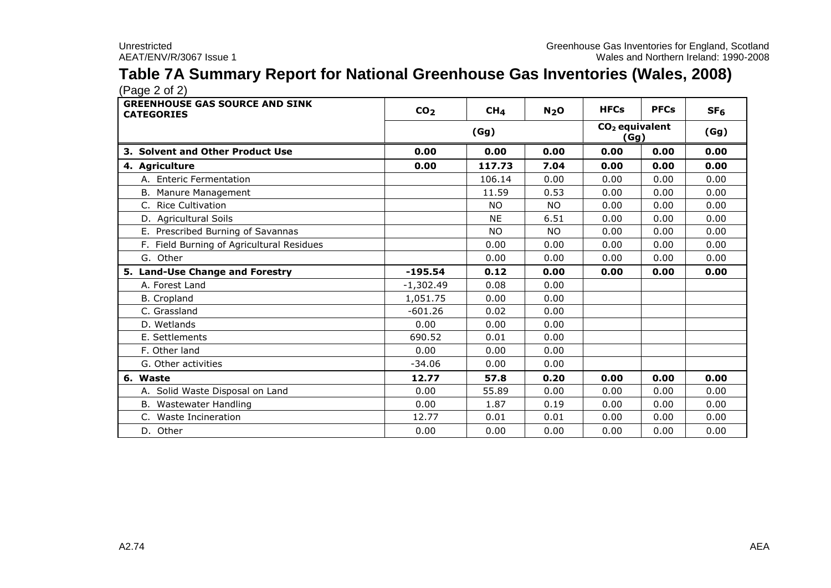### **Table 7A Summary Report for National Greenhouse Gas Inventories (Wales, 2008)**

| <b>GREENHOUSE GAS SOURCE AND SINK</b><br><b>CATEGORIES</b> | CO <sub>2</sub> | CH <sub>4</sub> | N <sub>2</sub> O | <b>HFCs</b> | <b>PFCs</b>              | SF <sub>6</sub> |
|------------------------------------------------------------|-----------------|-----------------|------------------|-------------|--------------------------|-----------------|
|                                                            |                 | (Gg)            |                  |             | $CO2$ equivalent<br>(Gq) | (Gg)            |
| 3. Solvent and Other Product Use                           | 0.00            | 0.00            | 0.00             | 0.00        | 0.00                     | 0.00            |
| 4. Agriculture                                             | 0.00            | 117.73          | 7.04             | 0.00        | 0.00                     | 0.00            |
| A. Enteric Fermentation                                    |                 | 106.14          | 0.00             | 0.00        | 0.00                     | 0.00            |
| B. Manure Management                                       |                 | 11.59           | 0.53             | 0.00        | 0.00                     | 0.00            |
| C. Rice Cultivation                                        |                 | <b>NO</b>       | <b>NO</b>        | 0.00        | 0.00                     | 0.00            |
| D. Agricultural Soils                                      |                 | <b>NE</b>       | 6.51             | 0.00        | 0.00                     | 0.00            |
| E. Prescribed Burning of Savannas                          |                 | <b>NO</b>       | <b>NO</b>        | 0.00        | 0.00                     | 0.00            |
| F. Field Burning of Agricultural Residues                  |                 | 0.00            | 0.00             | 0.00        | 0.00                     | 0.00            |
| G. Other                                                   |                 | 0.00            | 0.00             | 0.00        | 0.00                     | 0.00            |
| 5. Land-Use Change and Forestry                            | $-195.54$       | 0.12            | 0.00             | 0.00        | 0.00                     | 0.00            |
| A. Forest Land                                             | $-1,302.49$     | 0.08            | 0.00             |             |                          |                 |
| <b>B.</b> Cropland                                         | 1,051.75        | 0.00            | 0.00             |             |                          |                 |
| C. Grassland                                               | $-601.26$       | 0.02            | 0.00             |             |                          |                 |
| D. Wetlands                                                | 0.00            | 0.00            | 0.00             |             |                          |                 |
| E. Settlements                                             | 690.52          | 0.01            | 0.00             |             |                          |                 |
| F. Other land                                              | 0.00            | 0.00            | 0.00             |             |                          |                 |
| G. Other activities                                        | $-34.06$        | 0.00            | 0.00             |             |                          |                 |
| 6. Waste                                                   | 12.77           | 57.8            | 0.20             | 0.00        | 0.00                     | 0.00            |
| A. Solid Waste Disposal on Land                            | 0.00            | 55.89           | 0.00             | 0.00        | 0.00                     | 0.00            |
| B. Wastewater Handling                                     | 0.00            | 1.87            | 0.19             | 0.00        | 0.00                     | 0.00            |
| C. Waste Incineration                                      | 12.77           | 0.01            | 0.01             | 0.00        | 0.00                     | 0.00            |
| D. Other                                                   | 0.00            | 0.00            | 0.00             | 0.00        | 0.00                     | 0.00            |